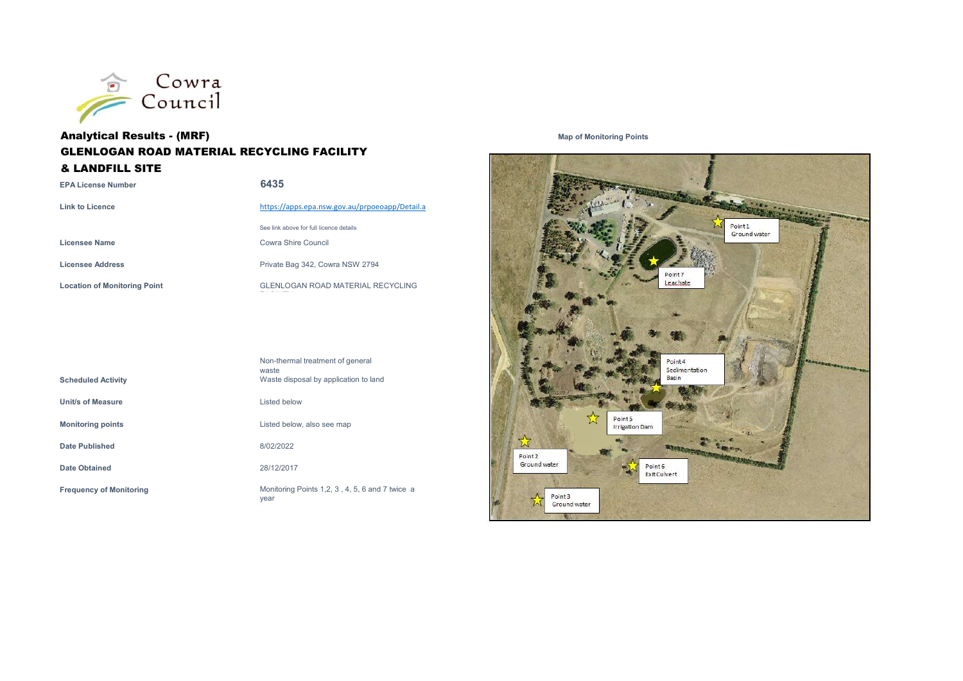

## **Analytical Results - (MRF)** and the control of Map of Monitoring Points and Map of Monitoring Points GLENLOGAN ROAD MATERIAL RECYCLING FACILITY & LANDFILL SITE

| <b>EPA License Number</b>           | 6435                                           |
|-------------------------------------|------------------------------------------------|
| <b>Link to Licence</b>              | https://apps.epa.nsw.gov.au/prpoeoapp/Detail.a |
|                                     | See link above for full licence details        |
| Licensee Name                       | Cowra Shire Council                            |
| Licensee Address                    | Private Bag 342, Cowra NSW 2794                |
| <b>Location of Monitoring Point</b> | <b>GLENLOGAN ROAD MATERIAL RECYCLING</b>       |
|                                     |                                                |

| <b>Scheduled Activity</b>      | Non-thermal treatment of general<br>waste<br>Waste disposal by application to land |
|--------------------------------|------------------------------------------------------------------------------------|
| Unit/s of Measure              | Listed below                                                                       |
| <b>Monitoring points</b>       | Listed below, also see map                                                         |
| Date Published                 | 8/02/2022                                                                          |
| <b>Date Obtained</b>           | 28/12/2017                                                                         |
| <b>Frequency of Monitoring</b> | Monitoring Points 1,2, 3, 4, 5, 6 and 7 twice a<br>year                            |

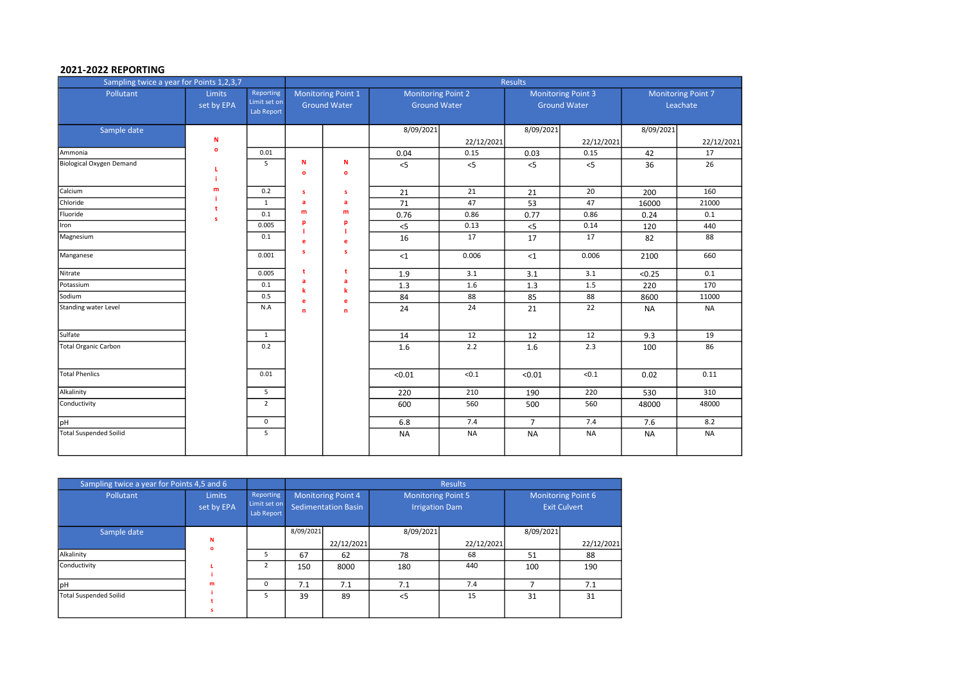#### 2021-2022 REPORTING

| Sampling twice a year for Points 1,2,3,7 |                      |                                         |                   |                                           |                                                  |            | <b>Results</b>                                   |            |           |                                       |
|------------------------------------------|----------------------|-----------------------------------------|-------------------|-------------------------------------------|--------------------------------------------------|------------|--------------------------------------------------|------------|-----------|---------------------------------------|
| Pollutant                                | Limits<br>set by EPA | Reporting<br>Limit set on<br>Lab Report |                   | Monitoring Point 1<br><b>Ground Water</b> | <b>Monitoring Point 2</b><br><b>Ground Water</b> |            | <b>Monitoring Point 3</b><br><b>Ground Water</b> |            |           | <b>Monitoring Point 7</b><br>Leachate |
| Sample date                              | N                    |                                         |                   |                                           | 8/09/2021                                        | 22/12/2021 | 8/09/2021                                        | 22/12/2021 | 8/09/2021 | 22/12/2021                            |
| Ammonia                                  | $\mathbf{o}$         | 0.01                                    |                   |                                           | 0.04                                             | 0.15       | 0.03                                             | 0.15       | 42        | 17                                    |
| Biological Oxygen Demand                 |                      | 5                                       | N<br>$\mathbf{o}$ | N<br>$\circ$                              | $<$ 5                                            | $<$ 5      | $<$ 5                                            | $<$ 5      | 36        | 26                                    |
| Calcium                                  | m                    | 0.2                                     | s                 | s                                         | 21                                               | 21         | 21                                               | 20         | 200       | 160                                   |
| Chloride                                 | t                    | 1                                       | a                 | a                                         | 71                                               | 47         | 53                                               | 47         | 16000     | 21000                                 |
| Fluoride                                 | s                    | 0.1                                     | m                 | m                                         | 0.76                                             | 0.86       | 0.77                                             | 0.86       | 0.24      | 0.1                                   |
| Iron                                     |                      | 0.005                                   | p                 | p<br>п                                    | $< 5$                                            | 0.13       | $<$ 5                                            | 0.14       | 120       | 440                                   |
| Magnesium                                |                      | 0.1                                     | e                 | e                                         | 16                                               | 17         | 17                                               | 17         | 82        | 88                                    |
| Manganese                                |                      | 0.001                                   | s                 | s                                         | <1                                               | 0.006      | ${<}1$                                           | 0.006      | 2100      | 660                                   |
| Nitrate                                  |                      | 0.005                                   | t                 | t                                         | 1.9                                              | 3.1        | 3.1                                              | 3.1        | < 0.25    | 0.1                                   |
| Potassium                                |                      | 0.1                                     | a<br>k            | a<br>$\mathbf k$                          | 1.3                                              | 1.6        | 1.3                                              | 1.5        | 220       | 170                                   |
| Sodium                                   |                      | 0.5                                     | e                 | e                                         | 84                                               | 88         | 85                                               | 88         | 8600      | 11000                                 |
| Standing water Level                     |                      | N.A                                     | n                 | $\mathbf n$                               | 24                                               | 24         | 21                                               | 22         | <b>NA</b> | <b>NA</b>                             |
| Sulfate                                  |                      | $\mathbf{1}$                            |                   |                                           | 14                                               | 12         | 12                                               | 12         | 9.3       | 19                                    |
| <b>Total Organic Carbon</b>              |                      | 0.2                                     |                   |                                           | 1.6                                              | 2.2        | 1.6                                              | 2.3        | 100       | 86                                    |
| <b>Total Phenlics</b>                    |                      | 0.01                                    |                   |                                           | < 0.01                                           | < 0.1      | < 0.01                                           | < 0.1      | 0.02      | 0.11                                  |
| Alkalinity                               |                      | 5                                       |                   |                                           | 220                                              | 210        | 190                                              | 220        | 530       | 310                                   |
| Conductivity                             |                      | $\overline{2}$                          |                   |                                           | 600                                              | 560        | 500                                              | 560        | 48000     | 48000                                 |
| pH                                       |                      | 0                                       |                   |                                           | 6.8                                              | 7.4        | $\overline{7}$                                   | 7.4        | 7.6       | 8.2                                   |
| <b>Total Suspended Soilid</b>            |                      | 5                                       |                   |                                           | <b>NA</b>                                        | <b>NA</b>  | <b>NA</b>                                        | <b>NA</b>  | <b>NA</b> | <b>NA</b>                             |

| Sampling twice a year for Points 4,5 and 6 |                             |                                                |                                           |            |                                                    | <b>Results</b> |                                           |            |
|--------------------------------------------|-----------------------------|------------------------------------------------|-------------------------------------------|------------|----------------------------------------------------|----------------|-------------------------------------------|------------|
| Pollutant                                  | <b>Limits</b><br>set by EPA | <b>Reporting</b><br>Limit set on<br>Lab Report | Monitoring Point 4<br>Sedimentation Basin |            | <b>Monitoring Point 5</b><br><b>Irrigation Dam</b> |                | Monitoring Point 6<br><b>Exit Culvert</b> |            |
| Sample date                                |                             |                                                | 8/09/2021                                 |            | 8/09/2021                                          |                | 8/09/2021                                 |            |
|                                            | N<br>$\bullet$              |                                                |                                           | 22/12/2021 |                                                    | 22/12/2021     |                                           | 22/12/2021 |
| Alkalinity                                 |                             | 5                                              | 67                                        | 62         | 78                                                 | 68             | 51                                        | 88         |
| Conductivity                               |                             | $\overline{2}$                                 | 150                                       | 8000       | 180                                                | 440            | 100                                       | 190        |
| <b>pH</b>                                  | m                           | 0                                              | 7.1                                       | 7.1        | 7.1                                                | 7.4            |                                           | 7.1        |
| Total Suspended Soilid                     |                             |                                                | 39                                        | 89         | < 5                                                | 15             | 31                                        | 31         |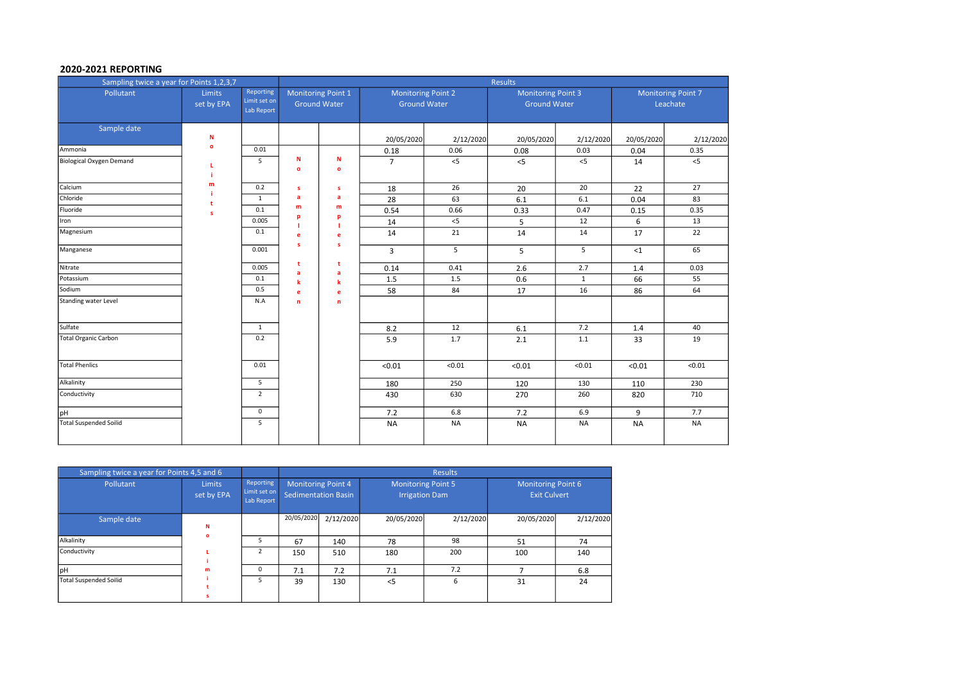#### 2020-2021 REPORTING

| Sampling twice a year for Points 1,2,3,7 |                      |                                         |                |                                                  |                                                  |           | Results                                          |              |                                       |           |
|------------------------------------------|----------------------|-----------------------------------------|----------------|--------------------------------------------------|--------------------------------------------------|-----------|--------------------------------------------------|--------------|---------------------------------------|-----------|
| Pollutant                                | Limits<br>set by EPA | Reporting<br>Limit set on<br>Lab Report |                | <b>Monitoring Point 1</b><br><b>Ground Water</b> | <b>Monitoring Point 2</b><br><b>Ground Water</b> |           | <b>Monitoring Point 3</b><br><b>Ground Water</b> |              | <b>Monitoring Point 7</b><br>Leachate |           |
| Sample date                              | N                    |                                         |                |                                                  | 20/05/2020                                       | 2/12/2020 | 20/05/2020                                       | 2/12/2020    | 20/05/2020                            | 2/12/2020 |
| Ammonia                                  | $\mathbf{o}$         | 0.01                                    |                |                                                  | 0.18                                             | 0.06      | 0.08                                             | 0.03         | 0.04                                  | 0.35      |
| Biological Oxygen Demand                 | L.                   | 5                                       | N<br>$\bullet$ | ${\bf N}$<br>$\bullet$                           | $\overline{7}$                                   | $<$ 5     | $<$ 5                                            | $<$ 5        | 14                                    | $<$ 5     |
| Calcium                                  | m                    | 0.2                                     | s              | s                                                | 18                                               | 26        | 20                                               | 20           | 22                                    | 27        |
| Chloride                                 |                      | $\mathbf{1}$                            | a              | a                                                | 28                                               | 63        | 6.1                                              | 6.1          | 0.04                                  | 83        |
| Fluoride                                 | s                    | 0.1                                     | m              | m                                                | 0.54                                             | 0.66      | 0.33                                             | 0.47         | 0.15                                  | 0.35      |
| Iron                                     |                      | 0.005                                   | p              | p                                                | 14                                               | $<$ 5     | 5                                                | 12           | 6                                     | 13        |
| Magnesium                                |                      | 0.1                                     | e<br>s         | e<br>s                                           | 14                                               | 21        | 14                                               | 14           | 17                                    | 22        |
| Manganese                                |                      | 0.001                                   |                |                                                  | $\overline{3}$                                   | 5         | 5                                                | 5            | $<$ 1                                 | 65        |
| Nitrate                                  |                      | 0.005                                   | t<br>a         | t<br>a                                           | 0.14                                             | 0.41      | 2.6                                              | 2.7          | 1.4                                   | 0.03      |
| Potassium                                |                      | 0.1                                     | $\mathbf k$    | k                                                | 1.5                                              | 1.5       | 0.6                                              | $\mathbf{1}$ | 66                                    | 55        |
| Sodium                                   |                      | 0.5                                     | e              | e                                                | 58                                               | 84        | 17                                               | 16           | 86                                    | 64        |
| Standing water Level                     |                      | N.A                                     | n.             | 'n                                               |                                                  |           |                                                  |              |                                       |           |
| Sulfate                                  |                      | 1                                       |                |                                                  | 8.2                                              | 12        | 6.1                                              | 7.2          | 1.4                                   | 40        |
| <b>Total Organic Carbon</b>              |                      | 0.2                                     |                |                                                  | 5.9                                              | 1.7       | 2.1                                              | 1.1          | 33                                    | 19        |
| Total Phenlics                           |                      | 0.01                                    |                |                                                  | < 0.01                                           | < 0.01    | < 0.01                                           | < 0.01       | < 0.01                                | < 0.01    |
| Alkalinity                               |                      | 5                                       |                |                                                  | 180                                              | 250       | 120                                              | 130          | 110                                   | 230       |
| Conductivity                             |                      | $\overline{2}$                          |                |                                                  | 430                                              | 630       | 270                                              | 260          | 820                                   | 710       |
| pH                                       |                      | $\mathbf 0$                             |                |                                                  | 7.2                                              | 6.8       | 7.2                                              | 6.9          | 9                                     | 7.7       |
| <b>Total Suspended Soilid</b>            |                      | 5                                       |                |                                                  | <b>NA</b>                                        | <b>NA</b> | <b>NA</b>                                        | <b>NA</b>    | <b>NA</b>                             | <b>NA</b> |

| Sampling twice a year for Points 4,5 and 6 |                             |                                         |                                                         |           |                                                    | <b>Results</b> |                                           |           |
|--------------------------------------------|-----------------------------|-----------------------------------------|---------------------------------------------------------|-----------|----------------------------------------------------|----------------|-------------------------------------------|-----------|
| Pollutant                                  | <b>Limits</b><br>set by EPA | Reporting<br>Limit set on<br>Lab Report | <b>Monitoring Point 4</b><br><b>Sedimentation Basin</b> |           | <b>Monitoring Point 5</b><br><b>Irrigation Dam</b> |                | Monitoring Point 6<br><b>Exit Culvert</b> |           |
| Sample date                                | N                           |                                         | 20/05/2020                                              | 2/12/2020 | 20/05/2020                                         | 2/12/2020      | 20/05/2020                                | 2/12/2020 |
| Alkalinity                                 | $\bullet$                   | ь                                       | 67                                                      | 140       | 78                                                 | 98             | 51                                        | 74        |
| Conductivity                               |                             | $\overline{2}$                          | 150                                                     | 510       | 180                                                | 200            | 100                                       | 140       |
| lpH                                        | m                           | $\Omega$                                | 7.1                                                     | 7.2       | 7.1                                                | 7.2            |                                           | 6.8       |
| <b>Total Suspended Soilid</b>              |                             | 5.                                      | 39                                                      | 130       | < 5                                                | 6              | 31                                        | 24        |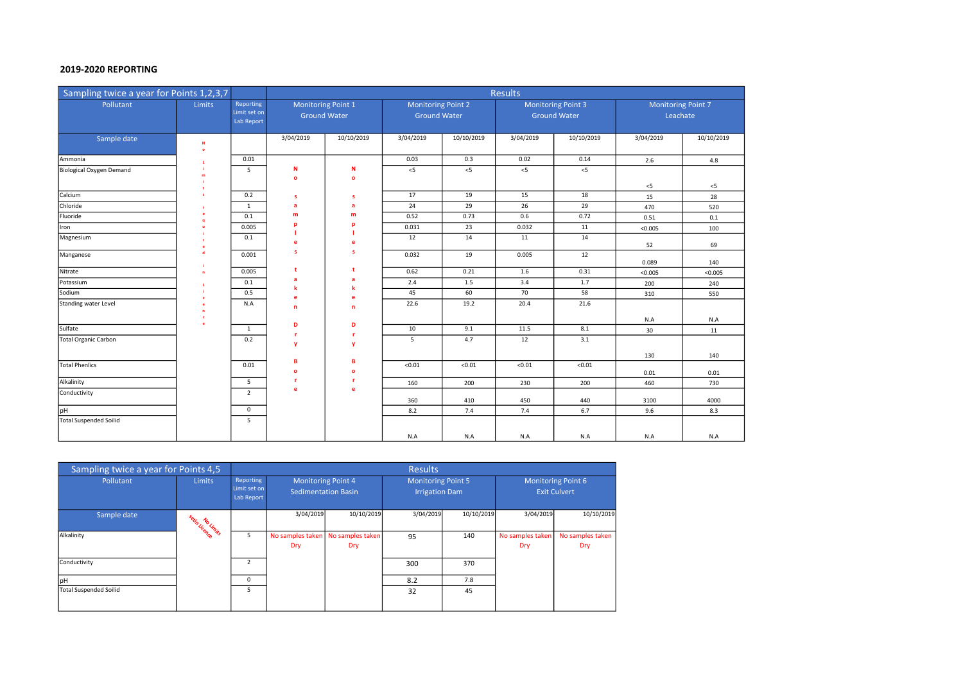### 2019-2020 REPORTING

| Sampling twice a year for Points 1,2,3,7 |        |                                         |                                           |                   |                                                  |            | <b>Results</b> |                                                  |           |                                       |  |
|------------------------------------------|--------|-----------------------------------------|-------------------------------------------|-------------------|--------------------------------------------------|------------|----------------|--------------------------------------------------|-----------|---------------------------------------|--|
| Pollutant                                | Limits | Reporting<br>Limit set on<br>Lab Report | Monitoring Point 1<br><b>Ground Water</b> |                   | <b>Monitoring Point 2</b><br><b>Ground Water</b> |            |                | <b>Monitoring Point 3</b><br><b>Ground Water</b> |           | <b>Monitoring Point 7</b><br>Leachate |  |
| Sample date                              | N      |                                         | 3/04/2019                                 | 10/10/2019        | 3/04/2019                                        | 10/10/2019 | 3/04/2019      | 10/10/2019                                       | 3/04/2019 | 10/10/2019                            |  |
| Ammonia                                  |        | 0.01                                    |                                           |                   | 0.03                                             | 0.3        | 0.02           | 0.14                                             | 2.6       | 4.8                                   |  |
| Biological Oxygen Demand                 |        | 5                                       | N<br>$\bullet$                            | N<br>$\mathbf{o}$ | $<$ 5                                            | $<$ 5      | 5<             | $<$ 5                                            | $<$ 5     | $<$ 5                                 |  |
| Calcium                                  |        | 0.2                                     | s                                         | -S                | 17                                               | 19         | 15             | 18                                               | 15        | 28                                    |  |
| Chloride                                 |        | $\mathbf{1}$                            | a                                         | a                 | 24                                               | 29         | 26             | 29                                               | 470       | 520                                   |  |
| Fluoride                                 |        | 0.1                                     | m                                         | m                 | 0.52                                             | 0.73       | 0.6            | 0.72                                             | 0.51      | 0.1                                   |  |
| Iron                                     |        | 0.005                                   |                                           |                   | 0.031                                            | 23         | 0.032          | 11                                               | < 0.005   | 100                                   |  |
| Magnesium                                |        | 0.1                                     |                                           | е                 | 12                                               | 14         | 11             | 14                                               | 52        | 69                                    |  |
| Manganese                                |        | 0.001                                   | s                                         | s                 | 0.032                                            | 19         | 0.005          | 12                                               | 0.089     | 140                                   |  |
| Nitrate                                  |        | 0.005                                   |                                           |                   | 0.62                                             | 0.21       | 1.6            | 0.31                                             | < 0.005   | < 0.005                               |  |
| Potassium                                |        | 0.1                                     |                                           |                   | 2.4                                              | 1.5        | 3.4            | 1.7                                              | 200       | 240                                   |  |
| Sodium                                   |        | 0.5                                     |                                           | e                 | 45                                               | 60         | 70             | 58                                               | 310       | 550                                   |  |
| Standing water Level                     |        | N.A                                     | n                                         | n                 | 22.6                                             | 19.2       | 20.4           | 21.6                                             |           |                                       |  |
| Sulfate                                  |        | 1                                       | D                                         | D                 | 10                                               | 9.1        | 11.5           | 8.1                                              | N.A<br>30 | N.A<br>11                             |  |
| <b>Total Organic Carbon</b>              |        | 0.2                                     |                                           | <b>r</b>          | 5                                                | 4.7        | 12             | 3.1                                              |           |                                       |  |
|                                          |        |                                         |                                           | <b>y</b>          |                                                  |            |                |                                                  | 130       | 140                                   |  |
| <b>Total Phenlics</b>                    |        | 0.01                                    | B<br>$\Omega$                             | в<br>$\mathbf{o}$ | < 0.01                                           | < 0.01     | < 0.01         | < 0.01                                           | 0.01      | 0.01                                  |  |
| Alkalinity                               |        | 5                                       |                                           | <b>r</b>          | 160                                              | 200        | 230            | 200                                              | 460       | 730                                   |  |
| Conductivity                             |        | $\overline{2}$                          | e                                         | e                 | 360                                              | 410        | 450            | 440                                              | 3100      | 4000                                  |  |
| pH                                       |        | $\mathbf 0$                             |                                           |                   | 8.2                                              | 7.4        | 7.4            | 6.7                                              | 9.6       | 8.3                                   |  |
| <b>Total Suspended Soilid</b>            |        | 5                                       |                                           |                   |                                                  |            |                |                                                  |           |                                       |  |
|                                          |        |                                         |                                           |                   | N.A                                              | N.A        | N.A            | N.A                                              | N.A       | N.A                                   |  |

| Sampling twice a year for Points 4,5 |                     |                                         | <b>Results</b>                                          |                                            |                                                    |            |                                           |                         |  |  |  |
|--------------------------------------|---------------------|-----------------------------------------|---------------------------------------------------------|--------------------------------------------|----------------------------------------------------|------------|-------------------------------------------|-------------------------|--|--|--|
| Pollutant                            | <b>Limits</b>       | Reporting<br>Limit set on<br>Lab Report | <b>Monitoring Point 4</b><br><b>Sedimentation Basin</b> |                                            | <b>Monitoring Point 5</b><br><b>Irrigation Dam</b> |            | Monitoring Point 6<br><b>Exit Culvert</b> |                         |  |  |  |
| Sample date                          | setin Licence Inits |                                         | 3/04/2019                                               | 10/10/2019                                 | 3/04/2019                                          | 10/10/2019 | 3/04/2019                                 | 10/10/2019              |  |  |  |
| Alkalinity                           |                     | 5                                       | Dry                                                     | No samples taken   No samples taken<br>Dry | 95                                                 | 140        | No samples taken<br>Dry                   | No samples taken<br>Dry |  |  |  |
| Conductivity                         |                     | $\mathfrak{p}$                          |                                                         |                                            | 300                                                | 370        |                                           |                         |  |  |  |
| <b>pH</b>                            |                     | 0                                       |                                                         |                                            | 8.2                                                | 7.8        |                                           |                         |  |  |  |
| <b>Total Suspended Soilid</b>        |                     | 5                                       |                                                         |                                            | 32                                                 | 45         |                                           |                         |  |  |  |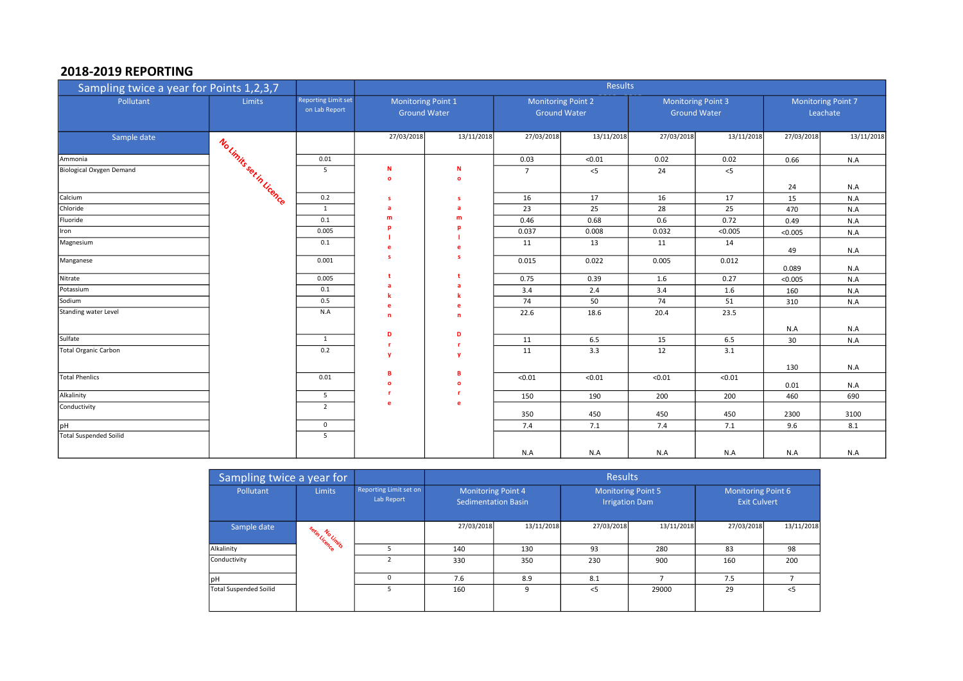# 2018-2019 REPORTING

| Sampling twice a year for Points 1,2,3,7 |                          |                                             |               |                                           |                | <b>Results</b>                                   |            |            |                                                  |            |                                       |  |
|------------------------------------------|--------------------------|---------------------------------------------|---------------|-------------------------------------------|----------------|--------------------------------------------------|------------|------------|--------------------------------------------------|------------|---------------------------------------|--|
| Pollutant                                | <b>Limits</b>            | <b>Reporting Limit set</b><br>on Lab Report |               | Monitoring Point 1<br><b>Ground Water</b> |                | <b>Monitoring Point 2</b><br><b>Ground Water</b> |            |            | <b>Monitoring Point 3</b><br><b>Ground Water</b> |            | <b>Monitoring Point 7</b><br>Leachate |  |
| Sample date                              |                          |                                             | 27/03/2018    | 13/11/2018                                | 27/03/2018     | 13/11/2018                                       | 27/03/2018 | 13/11/2018 | 27/03/2018                                       | 13/11/2018 |                                       |  |
| Ammonia                                  |                          | 0.01                                        |               |                                           | 0.03           | < 0.01                                           | 0.02       | 0.02       | 0.66                                             | N.A        |                                       |  |
| Biological Oxygen Demand                 | No Limits set in Licence | 5                                           | N<br>$\circ$  | N<br>$\mathbf{o}$                         | $\overline{7}$ | $< 5$                                            | 24         | $<$ 5      | 24                                               | N.A        |                                       |  |
| Calcium                                  |                          | 0.2                                         | s             | <b>s</b>                                  | 16             | 17                                               | 16         | 17         | 15                                               | N.A        |                                       |  |
| Chloride                                 |                          | 1                                           | a             | a                                         | 23             | 25                                               | 28         | 25         | 470                                              | N.A        |                                       |  |
| Fluoride                                 |                          | 0.1                                         | m             | m                                         | 0.46           | 0.68                                             | 0.6        | 0.72       | 0.49                                             | N.A        |                                       |  |
| Iron                                     |                          | 0.005                                       |               |                                           | 0.037          | 0.008                                            | 0.032      | < 0.005    | < 0.005                                          | N.A        |                                       |  |
| Magnesium                                |                          | 0.1                                         | e             | e                                         | 11             | 13                                               | 11         | 14         | 49                                               | N.A        |                                       |  |
| Manganese                                |                          | 0.001                                       | s             | -S                                        | 0.015          | 0.022                                            | 0.005      | 0.012      | 0.089                                            | N.A        |                                       |  |
| Nitrate                                  |                          | 0.005                                       |               |                                           | 0.75           | 0.39                                             | 1.6        | 0.27       | < 0.005                                          | N.A        |                                       |  |
| Potassium                                |                          | 0.1                                         |               | a                                         | 3.4            | 2.4                                              | 3.4        | 1.6        | 160                                              | N.A        |                                       |  |
| Sodium                                   |                          | 0.5                                         |               |                                           | 74             | 50                                               | 74         | 51         | 310                                              | N.A        |                                       |  |
| Standing water Level                     |                          | N.A                                         | n             | n                                         | 22.6           | 18.6                                             | 20.4       | 23.5       |                                                  |            |                                       |  |
| Sulfate                                  |                          | $\mathbf{1}$                                | D             | D                                         | 11             | 6.5                                              | 15         | 6.5        | N.A                                              | N.A        |                                       |  |
| Total Organic Carbon                     |                          | 0.2                                         |               |                                           | 11             | 3.3                                              |            | 3.1        | 30                                               | N.A        |                                       |  |
|                                          |                          |                                             | v             | y                                         |                |                                                  | 12         |            | 130                                              | N.A        |                                       |  |
| <b>Total Phenlics</b>                    |                          | 0.01                                        | R<br>$\Omega$ | B<br>$\Omega$                             | < 0.01         | < 0.01                                           | < 0.01     | < 0.01     | 0.01                                             | N.A        |                                       |  |
| Alkalinity                               |                          | 5                                           |               | .r                                        | 150            | 190                                              | 200        | 200        | 460                                              | 690        |                                       |  |
| Conductivity                             |                          | $\overline{2}$                              | e             | e                                         | 350            | 450                                              | 450        | 450        | 2300                                             | 3100       |                                       |  |
| <b>Hq</b>                                |                          | $\mathbf{0}$                                |               |                                           | 7.4            | 7.1                                              | 7.4        | 7.1        | 9.6                                              | 8.1        |                                       |  |
| <b>Total Suspended Soilid</b>            |                          | 5                                           |               |                                           |                |                                                  |            |            |                                                  |            |                                       |  |
|                                          |                          |                                             |               |                                           | N.A            | N.A                                              | N.A        | N.A        | N.A                                              | N.A        |                                       |  |

| Sampling twice a year for     |               |                                      |                                                  |            | <b>Results</b>                                     |            |                                           |            |  |
|-------------------------------|---------------|--------------------------------------|--------------------------------------------------|------------|----------------------------------------------------|------------|-------------------------------------------|------------|--|
| Pollutant                     | <b>Limits</b> | Reporting Limit set on<br>Lab Report | Monitoring Point 4<br><b>Sedimentation Basin</b> |            | <b>Monitoring Point 5</b><br><b>Irrigation Dam</b> |            | Monitoring Point 6<br><b>Exit Culvert</b> |            |  |
| Sample date                   | setin Licence |                                      | 27/03/2018                                       | 13/11/2018 | 27/03/2018                                         | 13/11/2018 | 27/03/2018                                | 13/11/2018 |  |
| Alkalinity                    |               |                                      | 140                                              | 130        | 93                                                 | 280        | 83                                        | 98         |  |
| Conductivity                  |               |                                      | 330                                              | 350        | 230                                                | 900        | 160                                       | 200        |  |
| <b>I</b> pH                   |               | $\Omega$                             | 7.6                                              | 8.9        | 8.1                                                |            | 7.5                                       |            |  |
| <b>Total Suspended Soilid</b> |               | 5                                    | 160                                              | 9          | $<$ 5                                              | 29000      | 29                                        | $<$ 5      |  |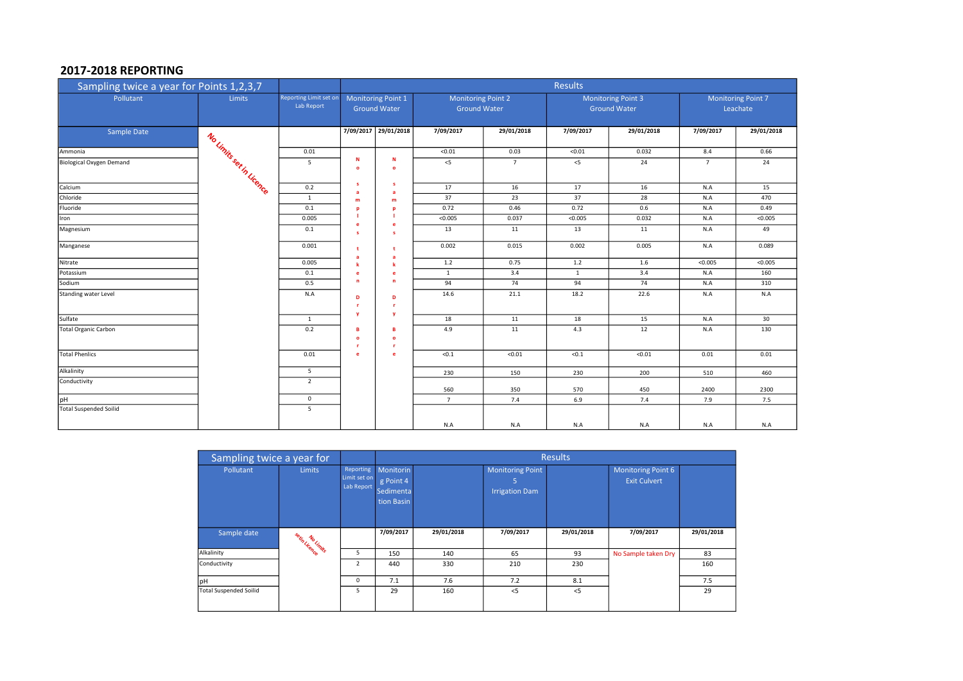## 2017-2018 REPORTING

| Sampling twice a year for Points 1,2,3,7 |                         |                                      | Results                                   |                      |                                                  |                |              |                                                  |                                       |            |
|------------------------------------------|-------------------------|--------------------------------------|-------------------------------------------|----------------------|--------------------------------------------------|----------------|--------------|--------------------------------------------------|---------------------------------------|------------|
| Pollutant                                | <b>Limits</b>           | Reporting Limit set on<br>Lab Report | Monitoring Point 1<br><b>Ground Water</b> |                      | <b>Monitoring Point 2</b><br><b>Ground Water</b> |                |              | <b>Monitoring Point 3</b><br><b>Ground Water</b> | <b>Monitoring Point 7</b><br>Leachate |            |
| Sample Date                              |                         |                                      | 7/09/2017                                 | 29/01/2018           | 7/09/2017                                        | 29/01/2018     | 7/09/2017    | 29/01/2018                                       | 7/09/2017                             | 29/01/2018 |
| Ammonia                                  |                         | 0.01                                 |                                           |                      | < 0.01                                           | 0.03           | < 0.01       | 0.032                                            | 8.4                                   | 0.66       |
| Biological Oxygen Demand                 | No Units set in Vicence | 5                                    | N<br>$\circ$                              | N<br>$\bullet$       | $<$ 5                                            | $\overline{7}$ | $< 5$        | 24                                               | $\overline{7}$                        | 24         |
| Calcium                                  |                         | 0.2                                  | s<br>a                                    | s<br>a               | 17                                               | 16             | 17           | 16                                               | N.A                                   | 15         |
| Chloride                                 |                         | $\mathbf{1}$                         | m                                         | m                    | 37                                               | 23             | 37           | 28                                               | $N.A$                                 | 470        |
| Fluoride                                 |                         | 0.1                                  | D                                         | D                    | 0.72                                             | 0.46           | 0.72         | 0.6                                              | $N.A$                                 | 0.49       |
| Iron                                     |                         | 0.005                                | e                                         | e                    | < 0.005                                          | 0.037          | < 0.005      | 0.032                                            | N.A                                   | <0.005     |
| Magnesium                                |                         | 0.1                                  | $\mathbf{s}$                              | s                    | 13                                               | 11             | 13           | 11                                               | N.A                                   | 49         |
| Manganese                                |                         | 0.001                                | t<br>a                                    | t<br>a               | 0.002                                            | 0.015          | 0.002        | 0.005                                            | N.A                                   | 0.089      |
| Nitrate                                  |                         | 0.005                                | k                                         | k                    | 1.2                                              | 0.75           | 1.2          | 1.6                                              | < 0.005                               | < 0.005    |
| Potassium                                |                         | 0.1                                  | e                                         | e                    | $\mathbf{1}$                                     | 3.4            | <sup>1</sup> | 3.4                                              | N.A                                   | 160        |
| Sodium                                   |                         | 0.5                                  | $\mathbf n$                               | $\mathbf n$          | 94                                               | 74             | 94           | 74                                               | N.A                                   | 310        |
| Standing water Level                     |                         | N.A                                  | D<br><b>r</b>                             | D<br>r.              | 14.6                                             | 21.1           | 18.2         | 22.6                                             | N.A                                   | N.A        |
| Sulfate                                  |                         | $\mathbf{1}$                         | $\mathbf{v}$                              | $\mathbf{v}$         | 18                                               | 11             | 18           | 15                                               | N.A                                   | 30         |
| <b>Total Organic Carbon</b>              |                         | 0.2                                  | B<br>$\bullet$<br><b>r</b>                | B<br>$\bullet$<br>r. | 4.9                                              | 11             | 4.3          | 12                                               | N.A                                   | 130        |
| <b>Total Phenlics</b>                    |                         | 0.01                                 | e                                         | e                    | < 0.1                                            | < 0.01         | < 0.1        | $\sqrt{0.01}$                                    | 0.01                                  | 0.01       |
| Alkalinity                               |                         | 5                                    |                                           |                      | 230                                              | 150            | 230          | 200                                              | 510                                   | 460        |
| Conductivity                             |                         | $\overline{2}$                       |                                           |                      | 560                                              | 350            | 570          | 450                                              | 2400                                  | 2300       |
| pH                                       |                         | $\mathbf 0$                          |                                           |                      | $\overline{7}$                                   | 7.4            | 6.9          | 7.4                                              | 7.9                                   | 7.5        |
| <b>Total Suspended Soilid</b>            |                         | 5                                    |                                           |                      |                                                  |                |              |                                                  |                                       |            |
|                                          |                         |                                      |                                           |                      | N.A                                              | N.A            | N.A          | N.A                                              | N.A                                   | N.A        |

| Sampling twice a year for     |                 |                                                |                                                          |            |                                                | <b>Results</b> |                                                  |            |
|-------------------------------|-----------------|------------------------------------------------|----------------------------------------------------------|------------|------------------------------------------------|----------------|--------------------------------------------------|------------|
| Pollutant                     | <b>Limits</b>   | <b>Reporting</b><br>Limit set on<br>Lab Report | Monitorin<br>g Point 4<br><b>Sedimenta</b><br>tion Basin |            | Monitoring Point<br>5<br><b>Irrigation Dam</b> |                | <b>Monitoring Point 6</b><br><b>Exit Culvert</b> |            |
| Sample date                   | setin No Limits |                                                | 7/09/2017                                                | 29/01/2018 | 7/09/2017                                      | 29/01/2018     | 7/09/2017                                        | 29/01/2018 |
| Alkalinity                    |                 | 5                                              | 150                                                      | 140        | 65                                             | 93             | No Sample taken Dry                              | 83         |
| Conductivity                  |                 | $\overline{2}$                                 | 440                                                      | 330        | 210                                            | 230            |                                                  | 160        |
| <b>pH</b>                     |                 | $\mathbf 0$                                    | 7.1                                                      | 7.6        | 7.2                                            | 8.1            |                                                  | 7.5        |
| <b>Total Suspended Soilid</b> |                 | 5                                              | 29                                                       | 160        | $<$ 5                                          | $<$ 5          |                                                  | 29         |